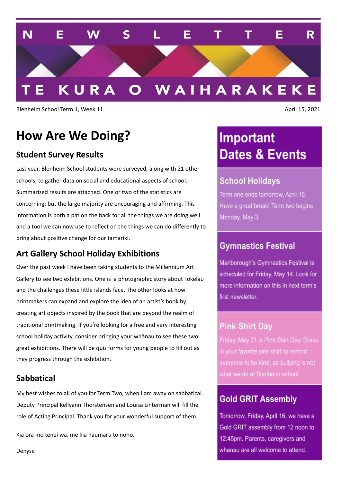

Blenheim School Term 1, Week 11 April 15, 2021

# **How Are We Doing?**

### **Student Survey Results**

Last year, Blenheim School students were surveyed, along with 21 other schools, to gather data on social and educational aspects of school. Summarized results are attached. One or two of the statistics are concerning; but the large majority are encouraging and affirming. This information is both a pat on the back for all the things we are doing well and a tool we can now use to reflect on the things we can do differently to bring about positive change for our tamariki.

### **Art Gallery School Holiday Exhibitions**

Over the past week I have been taking students to the Millennium Art Gallery to see two exhibitions. One is a photographic story about Tokelau and the challenges these little islands face. The other looks at how printmakers can expand and explore the idea of an artist's book by creating art objects inspired by the book that are beyond the realm of traditional printmaking. If you're looking for a free and very interesting school holiday activity, consider bringing your whānau to see these two great exhibitions. There will be quiz forms for young people to fill out as they progress through the exhibition.

#### **Sabbatical**

My best wishes to all of you for Term Two, when I am away on sabbatical. Deputy Principal Kellyann Thorstensen and Louisa Linterman will fill the role of Acting Principal. Thank you for your wonderful support of them.

Kia ora mo tenei wa, me kia haumaru to noho,

# Important **Dates & Events**

## **School Holidays**

Term one ends tomorrow, April 16. Have a great break! Term two begins Monday, May 3.

## **Gymnastics Festival**

Marlborough's Gymnastics Festival is scheduled for Friday, May 14. Look for more information on this in next term's first newsletter.

## **Pink Shirt Day**

what we do at Blenheim school.

## **Gold GRIT Assembly**

Tomorrow, Friday, April 16, we have a Gold GRIT assembly from 12 noon to 12:45pm. Parents, caregivers and whanau are all welcome to attend.

Denyse